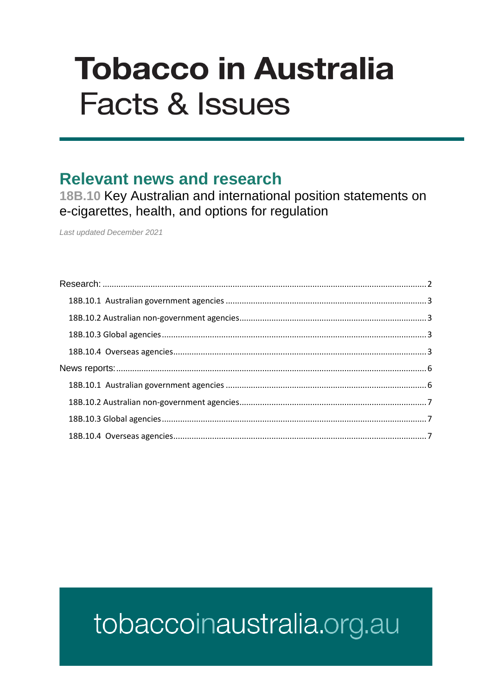# **Tobacco in Australia Facts & Issues**

## **Relevant news and research**

18B.10 Key Australian and international position statements on e-cigarettes, health, and options for regulation

Last updated December 2021

# <span id="page-0-0"></span>tobaccoinaustralia.org.au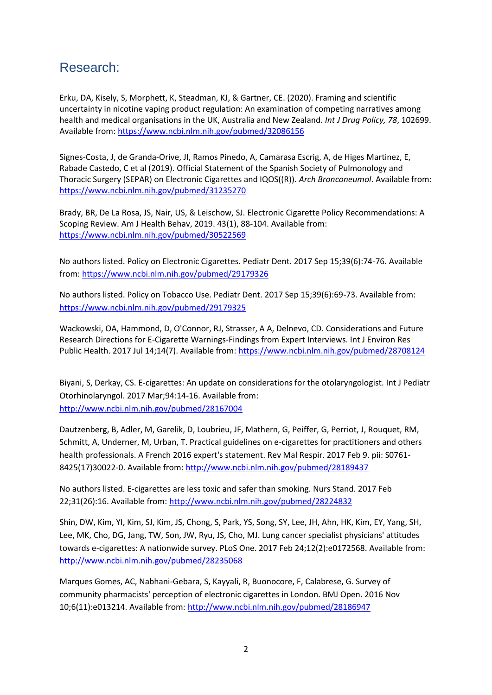### Research:

Erku, DA, Kisely, S, Morphett, K, Steadman, KJ, & Gartner, CE. (2020). Framing and scientific uncertainty in nicotine vaping product regulation: An examination of competing narratives among health and medical organisations in the UK, Australia and New Zealand. *Int J Drug Policy, 78*, 102699. Available from[: https://www.ncbi.nlm.nih.gov/pubmed/32086156](https://www.ncbi.nlm.nih.gov/pubmed/32086156)

Signes-Costa, J, de Granda-Orive, JI, Ramos Pinedo, A, Camarasa Escrig, A, de Higes Martinez, E, Rabade Castedo, C et al (2019). Official Statement of the Spanish Society of Pulmonology and Thoracic Surgery (SEPAR) on Electronic Cigarettes and IQOS((R)). *Arch Bronconeumol*. Available from: <https://www.ncbi.nlm.nih.gov/pubmed/31235270>

Brady, BR, De La Rosa, JS, Nair, US, & Leischow, SJ. Electronic Cigarette Policy Recommendations: A Scoping Review. Am J Health Behav, 2019. 43(1), 88-104. Available from: <https://www.ncbi.nlm.nih.gov/pubmed/30522569>

No authors listed. Policy on Electronic Cigarettes. Pediatr Dent. 2017 Sep 15;39(6):74-76. Available from:<https://www.ncbi.nlm.nih.gov/pubmed/29179326>

No authors listed. Policy on Tobacco Use. Pediatr Dent. 2017 Sep 15;39(6):69-73. Available from: <https://www.ncbi.nlm.nih.gov/pubmed/29179325>

Wackowski, OA, Hammond, D, O'Connor, RJ, Strasser, A A, Delnevo, CD. Considerations and Future Research Directions for E-Cigarette Warnings-Findings from Expert Interviews. Int J Environ Res Public Health. 2017 Jul 14;14(7). Available from[: https://www.ncbi.nlm.nih.gov/pubmed/28708124](https://www.ncbi.nlm.nih.gov/pubmed/28708124)

Biyani, S, Derkay, CS. E-cigarettes: An update on considerations for the otolaryngologist. Int J Pediatr Otorhinolaryngol. 2017 Mar;94:14-16. Available from: <http://www.ncbi.nlm.nih.gov/pubmed/28167004>

Dautzenberg, B, Adler, M, Garelik, D, Loubrieu, JF, Mathern, G, Peiffer, G, Perriot, J, Rouquet, RM, Schmitt, A, Underner, M, Urban, T. Practical guidelines on e-cigarettes for practitioners and others health professionals. A French 2016 expert's statement. Rev Mal Respir. 2017 Feb 9. pii: S0761- 8425(17)30022-0. Available from[: http://www.ncbi.nlm.nih.gov/pubmed/28189437](http://www.ncbi.nlm.nih.gov/pubmed/28189437)

No authors listed. E-cigarettes are less toxic and safer than smoking. Nurs Stand. 2017 Feb 22;31(26):16. Available from:<http://www.ncbi.nlm.nih.gov/pubmed/28224832>

Shin, DW, Kim, YI, Kim, SJ, Kim, JS, Chong, S, Park, YS, Song, SY, Lee, JH, Ahn, HK, Kim, EY, Yang, SH, Lee, MK, Cho, DG, Jang, TW, Son, JW, Ryu, JS, Cho, MJ. Lung cancer specialist physicians' attitudes towards e-cigarettes: A nationwide survey. PLoS One. 2017 Feb 24;12(2):e0172568. Available from: <http://www.ncbi.nlm.nih.gov/pubmed/28235068>

Marques Gomes, AC, Nabhani-Gebara, S, Kayyali, R, Buonocore, F, Calabrese, G. Survey of community pharmacists' perception of electronic cigarettes in London. BMJ Open. 2016 Nov 10;6(11):e013214. Available from:<http://www.ncbi.nlm.nih.gov/pubmed/28186947>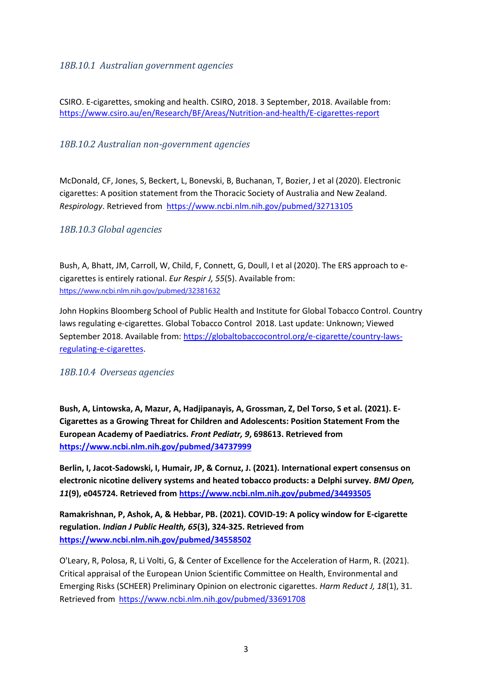#### <span id="page-2-0"></span>*18B.10.1 Australian government agencies*

CSIRO. E-cigarettes, smoking and health. CSIRO, 2018. 3 September, 2018. Available from: <https://www.csiro.au/en/Research/BF/Areas/Nutrition-and-health/E-cigarettes-report>

#### <span id="page-2-1"></span>*18B.10.2 Australian non-government agencies*

McDonald, CF, Jones, S, Beckert, L, Bonevski, B, Buchanan, T, Bozier, J et al (2020). Electronic cigarettes: A position statement from the Thoracic Society of Australia and New Zealand. *Respirology*. Retrieved from<https://www.ncbi.nlm.nih.gov/pubmed/32713105>

#### <span id="page-2-2"></span>*18B.10.3 Global agencies*

Bush, A, Bhatt, JM, Carroll, W, Child, F, Connett, G, Doull, I et al (2020). The ERS approach to ecigarettes is entirely rational. *Eur Respir J, 55*(5). Available from: <https://www.ncbi.nlm.nih.gov/pubmed/32381632>

John Hopkins Bloomberg School of Public Health and Institute for Global Tobacco Control. Country laws regulating e-cigarettes. Global Tobacco Control 2018. Last update: Unknown; Viewed September 2018. Available from: [https://globaltobaccocontrol.org/e-cigarette/country-laws](https://globaltobaccocontrol.org/e-cigarette/country-laws-regulating-e-cigarettes)[regulating-e-cigarettes.](https://globaltobaccocontrol.org/e-cigarette/country-laws-regulating-e-cigarettes)

#### <span id="page-2-3"></span>*18B.10.4 Overseas agencies*

**Bush, A, Lintowska, A, Mazur, A, Hadjipanayis, A, Grossman, Z, Del Torso, S et al. (2021). E-Cigarettes as a Growing Threat for Children and Adolescents: Position Statement From the European Academy of Paediatrics.** *Front Pediatr, 9***, 698613. Retrieved from <https://www.ncbi.nlm.nih.gov/pubmed/34737999>**

**Berlin, I, Jacot-Sadowski, I, Humair, JP, & Cornuz, J. (2021). International expert consensus on electronic nicotine delivery systems and heated tobacco products: a Delphi survey.** *BMJ Open, 11***(9), e045724. Retrieved from<https://www.ncbi.nlm.nih.gov/pubmed/34493505>**

**Ramakrishnan, P, Ashok, A, & Hebbar, PB. (2021). COVID-19: A policy window for E-cigarette regulation.** *Indian J Public Health, 65***(3), 324-325. Retrieved from <https://www.ncbi.nlm.nih.gov/pubmed/34558502>**

O'Leary, R, Polosa, R, Li Volti, G, & Center of Excellence for the Acceleration of Harm, R. (2021). Critical appraisal of the European Union Scientific Committee on Health, Environmental and Emerging Risks (SCHEER) Preliminary Opinion on electronic cigarettes. *Harm Reduct J, 18*(1), 31. Retrieved from<https://www.ncbi.nlm.nih.gov/pubmed/33691708>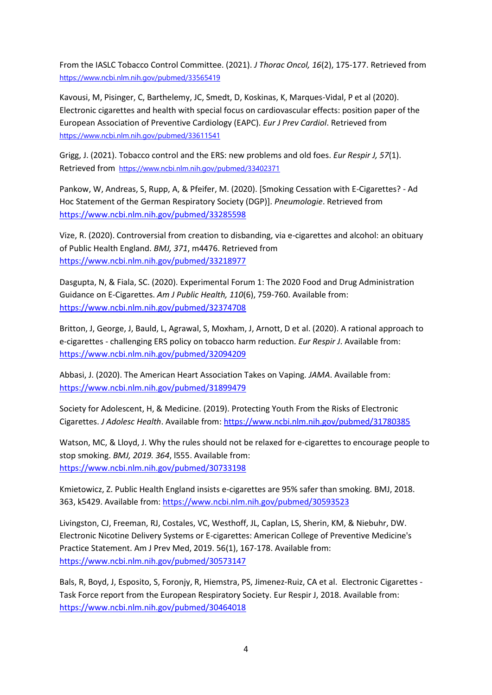From the IASLC Tobacco Control Committee. (2021). *J Thorac Oncol, 16*(2), 175-177. Retrieved from <https://www.ncbi.nlm.nih.gov/pubmed/33565419>

Kavousi, M, Pisinger, C, Barthelemy, JC, Smedt, D, Koskinas, K, Marques-Vidal, P et al (2020). Electronic cigarettes and health with special focus on cardiovascular effects: position paper of the European Association of Preventive Cardiology (EAPC). *Eur J Prev Cardiol*. Retrieved from <https://www.ncbi.nlm.nih.gov/pubmed/33611541>

Grigg, J. (2021). Tobacco control and the ERS: new problems and old foes. *Eur Respir J, 57*(1). Retrieved from <https://www.ncbi.nlm.nih.gov/pubmed/33402371>

Pankow, W, Andreas, S, Rupp, A, & Pfeifer, M. (2020). [Smoking Cessation with E-Cigarettes? - Ad Hoc Statement of the German Respiratory Society (DGP)]. *Pneumologie*. Retrieved from <https://www.ncbi.nlm.nih.gov/pubmed/33285598>

Vize, R. (2020). Controversial from creation to disbanding, via e-cigarettes and alcohol: an obituary of Public Health England. *BMJ, 371*, m4476. Retrieved from <https://www.ncbi.nlm.nih.gov/pubmed/33218977>

Dasgupta, N, & Fiala, SC. (2020). Experimental Forum 1: The 2020 Food and Drug Administration Guidance on E-Cigarettes. *Am J Public Health, 110*(6), 759-760. Available from: <https://www.ncbi.nlm.nih.gov/pubmed/32374708>

Britton, J, George, J, Bauld, L, Agrawal, S, Moxham, J, Arnott, D et al. (2020). A rational approach to e-cigarettes - challenging ERS policy on tobacco harm reduction. *Eur Respir J*. Available from: <https://www.ncbi.nlm.nih.gov/pubmed/32094209>

Abbasi, J. (2020). The American Heart Association Takes on Vaping. *JAMA*. Available from: <https://www.ncbi.nlm.nih.gov/pubmed/31899479>

Society for Adolescent, H, & Medicine. (2019). Protecting Youth From the Risks of Electronic Cigarettes. *J Adolesc Health*. Available from[: https://www.ncbi.nlm.nih.gov/pubmed/31780385](https://www.ncbi.nlm.nih.gov/pubmed/31780385)

Watson, MC, & Lloyd, J. Why the rules should not be relaxed for e-cigarettes to encourage people to stop smoking. *BMJ, 2019. 364*, l555. Available from: <https://www.ncbi.nlm.nih.gov/pubmed/30733198>

Kmietowicz, Z. Public Health England insists e-cigarettes are 95% safer than smoking. BMJ, 2018. 363, k5429. Available from:<https://www.ncbi.nlm.nih.gov/pubmed/30593523>

Livingston, CJ, Freeman, RJ, Costales, VC, Westhoff, JL, Caplan, LS, Sherin, KM, & Niebuhr, DW. Electronic Nicotine Delivery Systems or E-cigarettes: American College of Preventive Medicine's Practice Statement. Am J Prev Med, 2019. 56(1), 167-178. Available from: <https://www.ncbi.nlm.nih.gov/pubmed/30573147>

Bals, R, Boyd, J, Esposito, S, Foronjy, R, Hiemstra, PS, Jimenez-Ruiz, CA et al. Electronic Cigarettes - Task Force report from the European Respiratory Society. Eur Respir J, 2018. Available from: <https://www.ncbi.nlm.nih.gov/pubmed/30464018>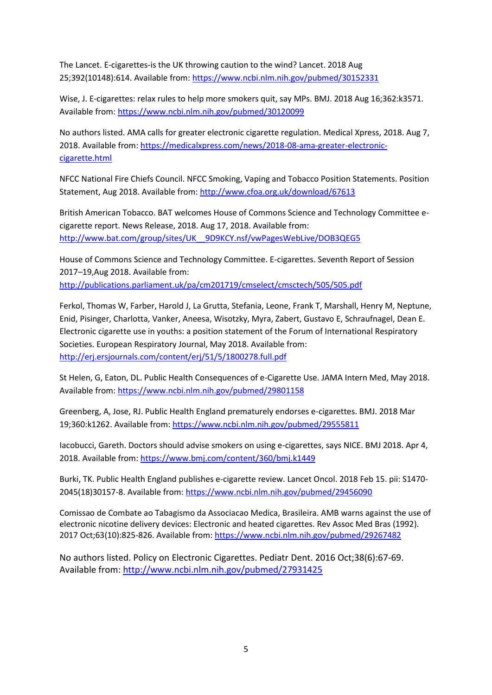The Lancet. E-cigarettes-is the UK throwing caution to the wind? Lancet. 2018 Aug 25;392(10148):614. Available from[: https://www.ncbi.nlm.nih.gov/pubmed/30152331](https://www.ncbi.nlm.nih.gov/pubmed/30152331)

Wise, J. E-cigarettes: relax rules to help more smokers quit, say MPs. BMJ. 2018 Aug 16;362:k3571. Available from[: https://www.ncbi.nlm.nih.gov/pubmed/30120099](https://www.ncbi.nlm.nih.gov/pubmed/30120099)

No authors listed. AMA calls for greater electronic cigarette regulation. Medical Xpress, 2018. Aug 7, 2018. Available from: [https://medicalxpress.com/news/2018-08-ama-greater-electronic](https://medicalxpress.com/news/2018-08-ama-greater-electronic-cigarette.html)[cigarette.html](https://medicalxpress.com/news/2018-08-ama-greater-electronic-cigarette.html)

NFCC National Fire Chiefs Council. NFCC Smoking, Vaping and Tobacco Position Statements. Position Statement, Aug 2018. Available from:<http://www.cfoa.org.uk/download/67613>

British American Tobacco. BAT welcomes House of Commons Science and Technology Committee ecigarette report. News Release, 2018. Aug 17, 2018. Available from: [http://www.bat.com/group/sites/UK\\_\\_9D9KCY.nsf/vwPagesWebLive/DOB3QEG5](http://www.bat.com/group/sites/UK__9D9KCY.nsf/vwPagesWebLive/DOB3QEG5)

House of Commons Science and Technology Committee. E-cigarettes. Seventh Report of Session 2017–19,Aug 2018. Available from: <http://publications.parliament.uk/pa/cm201719/cmselect/cmsctech/505/505.pdf>

Ferkol, Thomas W, Farber, Harold J, La Grutta, Stefania, Leone, Frank T, Marshall, Henry M, Neptune, Enid, Pisinger, Charlotta, Vanker, Aneesa, Wisotzky, Myra, Zabert, Gustavo E, Schraufnagel, Dean E. Electronic cigarette use in youths: a position statement of the Forum of International Respiratory Societies. European Respiratory Journal, May 2018. Available from: <http://erj.ersjournals.com/content/erj/51/5/1800278.full.pdf>

St Helen, G, Eaton, DL. Public Health Consequences of e-Cigarette Use. JAMA Intern Med, May 2018. Available from[: https://www.ncbi.nlm.nih.gov/pubmed/29801158](https://www.ncbi.nlm.nih.gov/pubmed/29801158)

Greenberg, A, Jose, RJ. Public Health England prematurely endorses e-cigarettes. BMJ. 2018 Mar 19;360:k1262. Available from[: https://www.ncbi.nlm.nih.gov/pubmed/29555811](https://www.ncbi.nlm.nih.gov/pubmed/29555811)

Iacobucci, Gareth. Doctors should advise smokers on using e-cigarettes, says NICE. BMJ 2018. Apr 4, 2018. Available from:<https://www.bmj.com/content/360/bmj.k1449>

Burki, TK. Public Health England publishes e-cigarette review. Lancet Oncol. 2018 Feb 15. pii: S1470- 2045(18)30157-8. Available from[: https://www.ncbi.nlm.nih.gov/pubmed/29456090](https://www.ncbi.nlm.nih.gov/pubmed/29456090)

Comissao de Combate ao Tabagismo da Associacao Medica, Brasileira. AMB warns against the use of electronic nicotine delivery devices: Electronic and heated cigarettes. Rev Assoc Med Bras (1992). 2017 Oct;63(10):825-826. Available from[: https://www.ncbi.nlm.nih.gov/pubmed/29267482](https://www.ncbi.nlm.nih.gov/pubmed/29267482)

No authors listed. Policy on Electronic Cigarettes. Pediatr Dent. 2016 Oct;38(6):67-69. Available from:<http://www.ncbi.nlm.nih.gov/pubmed/27931425>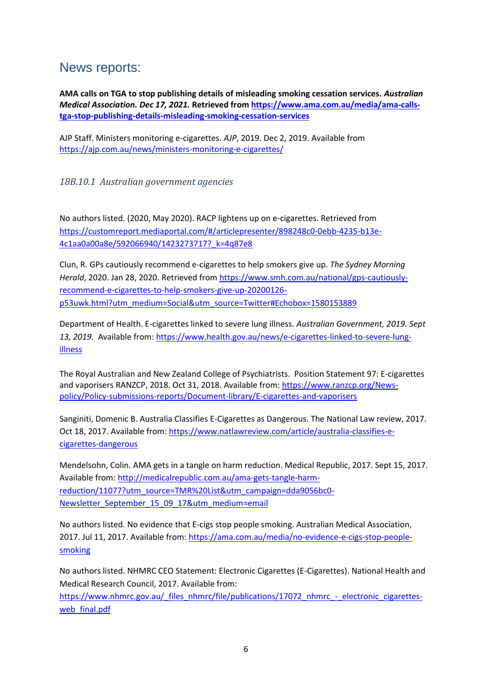### <span id="page-5-0"></span>News reports:

**AMA calls on TGA to stop publishing details of misleading smoking cessation services.** *Australian Medical Association. Dec 17, 2021.* **Retrieved from [https://www.ama.com.au/media/ama-calls](https://www.ama.com.au/media/ama-calls-tga-stop-publishing-details-misleading-smoking-cessation-services)[tga-stop-publishing-details-misleading-smoking-cessation-services](https://www.ama.com.au/media/ama-calls-tga-stop-publishing-details-misleading-smoking-cessation-services)**

AJP Staff. Ministers monitoring e-cigarettes. *AJP*, 2019. Dec 2, 2019. Available from <https://ajp.com.au/news/ministers-monitoring-e-cigarettes/>

#### <span id="page-5-1"></span>*18B.10.1 Australian government agencies*

No authors listed. (2020, May 2020). RACP lightens up on e-cigarettes. Retrieved from [https://customreport.mediaportal.com/#/articlepresenter/898248c0-0ebb-4235-b13e-](https://customreport.mediaportal.com/#/articlepresenter/898248c0-0ebb-4235-b13e-4c1aa0a00a8e/592066940/1423273717?_k=4q87e8)[4c1aa0a00a8e/592066940/1423273717?\\_k=4q87e8](https://customreport.mediaportal.com/#/articlepresenter/898248c0-0ebb-4235-b13e-4c1aa0a00a8e/592066940/1423273717?_k=4q87e8)

Clun, R. GPs cautiously recommend e-cigarettes to help smokers give up. *The Sydney Morning Herald*, 2020. Jan 28, 2020. Retrieved fro[m https://www.smh.com.au/national/gps-cautiously](https://www.smh.com.au/national/gps-cautiously-recommend-e-cigarettes-to-help-smokers-give-up-20200126-p53uwk.html?utm_medium=Social&utm_source=Twitter#Echobox=1580153889)[recommend-e-cigarettes-to-help-smokers-give-up-20200126](https://www.smh.com.au/national/gps-cautiously-recommend-e-cigarettes-to-help-smokers-give-up-20200126-p53uwk.html?utm_medium=Social&utm_source=Twitter#Echobox=1580153889) [p53uwk.html?utm\\_medium=Social&utm\\_source=Twitter#Echobox=1580153889](https://www.smh.com.au/national/gps-cautiously-recommend-e-cigarettes-to-help-smokers-give-up-20200126-p53uwk.html?utm_medium=Social&utm_source=Twitter#Echobox=1580153889)

Department of Health. E-cigarettes linked to severe lung illness. *Australian Government, 2019. Sept*  13, 2019. Available from: [https://www.health.gov.au/news/e-cigarettes-linked-to-severe-lung](https://www.health.gov.au/news/e-cigarettes-linked-to-severe-lung-illness)[illness](https://www.health.gov.au/news/e-cigarettes-linked-to-severe-lung-illness)

The Royal Australian and New Zealand College of Psychiatrists. Position Statement 97: E-cigarettes and vaporisers RANZCP, 2018. Oct 31, 2018. Available from: [https://www.ranzcp.org/News](https://www.ranzcp.org/News-policy/Policy-submissions-reports/Document-library/E-cigarettes-and-vaporisers)[policy/Policy-submissions-reports/Document-library/E-cigarettes-and-vaporisers](https://www.ranzcp.org/News-policy/Policy-submissions-reports/Document-library/E-cigarettes-and-vaporisers)

Sanginiti, Domenic B. Australia Classifies E-Cigarettes as Dangerous. The National Law review, 2017. Oct 18, 2017. Available from: [https://www.natlawreview.com/article/australia-classifies-e](https://www.natlawreview.com/article/australia-classifies-e-cigarettes-dangerous)[cigarettes-dangerous](https://www.natlawreview.com/article/australia-classifies-e-cigarettes-dangerous)

Mendelsohn, Colin. AMA gets in a tangle on harm reduction. Medical Republic, 2017. Sept 15, 2017. Available from[: http://medicalrepublic.com.au/ama-gets-tangle-harm](http://medicalrepublic.com.au/ama-gets-tangle-harm-reduction/11077?utm_source=TMR%20List&utm_campaign=dda9056bc0-Newsletter_September_15_09_17&utm_medium=email)[reduction/11077?utm\\_source=TMR%20List&utm\\_campaign=dda9056bc0-](http://medicalrepublic.com.au/ama-gets-tangle-harm-reduction/11077?utm_source=TMR%20List&utm_campaign=dda9056bc0-Newsletter_September_15_09_17&utm_medium=email) [Newsletter\\_September\\_15\\_09\\_17&utm\\_medium=email](http://medicalrepublic.com.au/ama-gets-tangle-harm-reduction/11077?utm_source=TMR%20List&utm_campaign=dda9056bc0-Newsletter_September_15_09_17&utm_medium=email)

No authors listed. No evidence that E-cigs stop people smoking. Australian Medical Association, 2017. Jul 11, 2017. Available from: [https://ama.com.au/media/no-evidence-e-cigs-stop-people](https://ama.com.au/media/no-evidence-e-cigs-stop-people-smoking)[smoking](https://ama.com.au/media/no-evidence-e-cigs-stop-people-smoking)

No authors listed. NHMRC CEO Statement: Electronic Cigarettes (E-Cigarettes). National Health and Medical Research Council, 2017. Available from:

[https://www.nhmrc.gov.au/\\_files\\_nhmrc/file/publications/17072\\_nhmrc\\_-\\_electronic\\_cigarettes](https://www.nhmrc.gov.au/_files_nhmrc/file/publications/17072_nhmrc_-_electronic_cigarettes-web_final.pdf)web final.pdf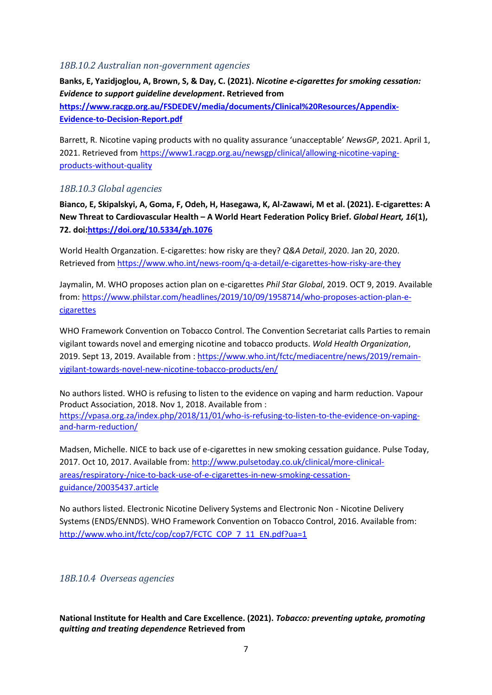#### <span id="page-6-0"></span>*18B.10.2 Australian non-government agencies*

**Banks, E, Yazidjoglou, A, Brown, S, & Day, C. (2021).** *Nicotine e-cigarettes for smoking cessation: Evidence to support guideline development***. Retrieved from** 

**[https://www.racgp.org.au/FSDEDEV/media/documents/Clinical%20Resources/Appendix-](https://www.racgp.org.au/FSDEDEV/media/documents/Clinical%20Resources/Appendix-Evidence-to-Decision-Report.pdf)[Evidence-to-Decision-Report.pdf](https://www.racgp.org.au/FSDEDEV/media/documents/Clinical%20Resources/Appendix-Evidence-to-Decision-Report.pdf)**

Barrett, R. Nicotine vaping products with no quality assurance 'unacceptable' *NewsGP*, 2021. April 1, 2021. Retrieved fro[m https://www1.racgp.org.au/newsgp/clinical/allowing-nicotine-vaping](https://www1.racgp.org.au/newsgp/clinical/allowing-nicotine-vaping-products-without-quality)[products-without-quality](https://www1.racgp.org.au/newsgp/clinical/allowing-nicotine-vaping-products-without-quality)

#### <span id="page-6-1"></span>*18B.10.3 Global agencies*

**Bianco, E, Skipalskyi, A, Goma, F, Odeh, H, Hasegawa, K, Al-Zawawi, M et al. (2021). E-cigarettes: A New Threat to Cardiovascular Health – A World Heart Federation Policy Brief.** *Global Heart, 16***(1), 72. doi[:https://doi.org/10.5334/gh.1076](https://doi.org/10.5334/gh.1076)**

World Health Organzation. E-cigarettes: how risky are they? *Q&A Detail*, 2020. Jan 20, 2020. Retrieved from<https://www.who.int/news-room/q-a-detail/e-cigarettes-how-risky-are-they>

Jaymalin, M. WHO proposes action plan on e-cigarettes *Phil Star Global*, 2019. OCT 9, 2019. Available from: [https://www.philstar.com/headlines/2019/10/09/1958714/who-proposes-action-plan-e](https://www.philstar.com/headlines/2019/10/09/1958714/who-proposes-action-plan-e-cigarettes)[cigarettes](https://www.philstar.com/headlines/2019/10/09/1958714/who-proposes-action-plan-e-cigarettes)

WHO Framework Convention on Tobacco Control. The Convention Secretariat calls Parties to remain vigilant towards novel and emerging nicotine and tobacco products. *Wold Health Organization*, 2019. Sept 13, 2019. Available from : [https://www.who.int/fctc/mediacentre/news/2019/remain](https://www.who.int/fctc/mediacentre/news/2019/remain-vigilant-towards-novel-new-nicotine-tobacco-products/en/)[vigilant-towards-novel-new-nicotine-tobacco-products/en/](https://www.who.int/fctc/mediacentre/news/2019/remain-vigilant-towards-novel-new-nicotine-tobacco-products/en/)

No authors listed. WHO is refusing to listen to the evidence on vaping and harm reduction. Vapour Product Association, 2018. Nov 1, 2018. Available from : [https://vpasa.org.za/index.php/2018/11/01/who-is-refusing-to-listen-to-the-evidence-on-vaping](https://vpasa.org.za/index.php/2018/11/01/who-is-refusing-to-listen-to-the-evidence-on-vaping-and-harm-reduction/)[and-harm-reduction/](https://vpasa.org.za/index.php/2018/11/01/who-is-refusing-to-listen-to-the-evidence-on-vaping-and-harm-reduction/)

Madsen, Michelle. NICE to back use of e-cigarettes in new smoking cessation guidance. Pulse Today, 2017. Oct 10, 2017. Available from: [http://www.pulsetoday.co.uk/clinical/more-clinical](http://www.pulsetoday.co.uk/clinical/more-clinical-areas/respiratory-/nice-to-back-use-of-e-cigarettes-in-new-smoking-cessation-guidance/20035437.article)[areas/respiratory-/nice-to-back-use-of-e-cigarettes-in-new-smoking-cessation](http://www.pulsetoday.co.uk/clinical/more-clinical-areas/respiratory-/nice-to-back-use-of-e-cigarettes-in-new-smoking-cessation-guidance/20035437.article)[guidance/20035437.article](http://www.pulsetoday.co.uk/clinical/more-clinical-areas/respiratory-/nice-to-back-use-of-e-cigarettes-in-new-smoking-cessation-guidance/20035437.article)

No authors listed. Electronic Nicotine Delivery Systems and Electronic Non - Nicotine Delivery Systems (ENDS/ENNDS). WHO Framework Convention on Tobacco Control, 2016. Available from: [http://www.who.int/fctc/cop/cop7/FCTC\\_COP\\_7\\_11\\_EN.pdf?ua=1](http://www.who.int/fctc/cop/cop7/FCTC_COP_7_11_EN.pdf?ua=1)

#### <span id="page-6-2"></span>*18B.10.4 Overseas agencies*

**National Institute for Health and Care Excellence. (2021).** *Tobacco: preventing uptake, promoting quitting and treating dependence* **Retrieved from**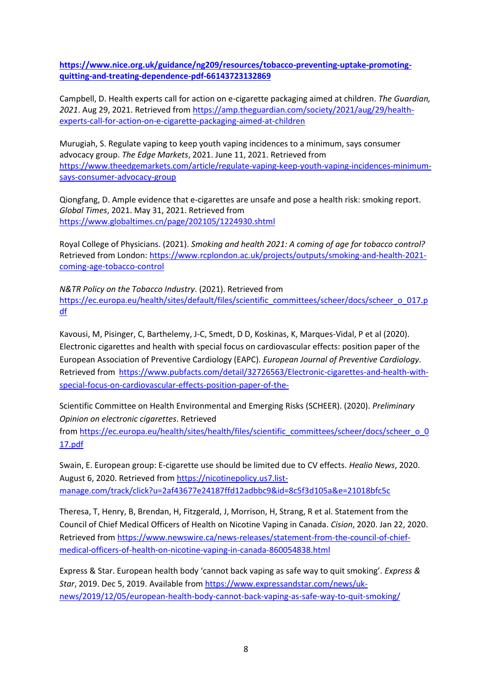**[https://www.nice.org.uk/guidance/ng209/resources/tobacco-preventing-uptake-promoting](https://www.nice.org.uk/guidance/ng209/resources/tobacco-preventing-uptake-promoting-quitting-and-treating-dependence-pdf-66143723132869)[quitting-and-treating-dependence-pdf-66143723132869](https://www.nice.org.uk/guidance/ng209/resources/tobacco-preventing-uptake-promoting-quitting-and-treating-dependence-pdf-66143723132869)**

Campbell, D. Health experts call for action on e-cigarette packaging aimed at children. *The Guardian, 2021*. Aug 29, 2021. Retrieved from [https://amp.theguardian.com/society/2021/aug/29/health](https://amp.theguardian.com/society/2021/aug/29/health-experts-call-for-action-on-e-cigarette-packaging-aimed-at-children)[experts-call-for-action-on-e-cigarette-packaging-aimed-at-children](https://amp.theguardian.com/society/2021/aug/29/health-experts-call-for-action-on-e-cigarette-packaging-aimed-at-children)

Murugiah, S. Regulate vaping to keep youth vaping incidences to a minimum, says consumer advocacy group. *The Edge Markets*, 2021. June 11, 2021. Retrieved from [https://www.theedgemarkets.com/article/regulate-vaping-keep-youth-vaping-incidences-minimum](https://www.theedgemarkets.com/article/regulate-vaping-keep-youth-vaping-incidences-minimum-says-consumer-advocacy-group)[says-consumer-advocacy-group](https://www.theedgemarkets.com/article/regulate-vaping-keep-youth-vaping-incidences-minimum-says-consumer-advocacy-group)

Qiongfang, D. Ample evidence that e-cigarettes are unsafe and pose a health risk: smoking report. *Global Times*, 2021. May 31, 2021. Retrieved from <https://www.globaltimes.cn/page/202105/1224930.shtml>

Royal College of Physicians. (2021). *Smoking and health 2021: A coming of age for tobacco control?* Retrieved from London: [https://www.rcplondon.ac.uk/projects/outputs/smoking-and-health-2021](https://www.rcplondon.ac.uk/projects/outputs/smoking-and-health-2021-coming-age-tobacco-control) [coming-age-tobacco-control](https://www.rcplondon.ac.uk/projects/outputs/smoking-and-health-2021-coming-age-tobacco-control)

*N&TR Policy on the Tobacco Industry*. (2021). Retrieved from [https://ec.europa.eu/health/sites/default/files/scientific\\_committees/scheer/docs/scheer\\_o\\_017.p](https://ec.europa.eu/health/sites/default/files/scientific_committees/scheer/docs/scheer_o_017.pdf) [df](https://ec.europa.eu/health/sites/default/files/scientific_committees/scheer/docs/scheer_o_017.pdf)

Kavousi, M, Pisinger, C, Barthelemy, J-C, Smedt, D D, Koskinas, K, Marques-Vidal, P et al (2020). Electronic cigarettes and health with special focus on cardiovascular effects: position paper of the European Association of Preventive Cardiology (EAPC). *European Journal of Preventive Cardiology*. Retrieved from [https://www.pubfacts.com/detail/32726563/Electronic-cigarettes-and-health-with](https://www.pubfacts.com/detail/32726563/Electronic-cigarettes-and-health-with-special-focus-on-cardiovascular-effects-position-paper-of-the-)[special-focus-on-cardiovascular-effects-position-paper-of-the-](https://www.pubfacts.com/detail/32726563/Electronic-cigarettes-and-health-with-special-focus-on-cardiovascular-effects-position-paper-of-the-)

Scientific Committee on Health Environmental and Emerging Risks (SCHEER). (2020). *Preliminary Opinion on electronic cigarettes*. Retrieved

from [https://ec.europa.eu/health/sites/health/files/scientific\\_committees/scheer/docs/scheer\\_o\\_0](https://ec.europa.eu/health/sites/health/files/scientific_committees/scheer/docs/scheer_o_017.pdf) [17.pdf](https://ec.europa.eu/health/sites/health/files/scientific_committees/scheer/docs/scheer_o_017.pdf)

Swain, E. European group: E-cigarette use should be limited due to CV effects. *Healio News*, 2020. August 6, 2020. Retrieved from [https://nicotinepolicy.us7.list](https://nicotinepolicy.us7.list-manage.com/track/click?u=2af43677e24187ffd12adbbc9&id=8c5f3d105a&e=21018bfc5c)[manage.com/track/click?u=2af43677e24187ffd12adbbc9&id=8c5f3d105a&e=21018bfc5c](https://nicotinepolicy.us7.list-manage.com/track/click?u=2af43677e24187ffd12adbbc9&id=8c5f3d105a&e=21018bfc5c)

Theresa, T, Henry, B, Brendan, H, Fitzgerald, J, Morrison, H, Strang, R et al. Statement from the Council of Chief Medical Officers of Health on Nicotine Vaping in Canada. *Cision*, 2020. Jan 22, 2020. Retrieved from [https://www.newswire.ca/news-releases/statement-from-the-council-of-chief](https://www.newswire.ca/news-releases/statement-from-the-council-of-chief-medical-officers-of-health-on-nicotine-vaping-in-canada-860054838.html)[medical-officers-of-health-on-nicotine-vaping-in-canada-860054838.html](https://www.newswire.ca/news-releases/statement-from-the-council-of-chief-medical-officers-of-health-on-nicotine-vaping-in-canada-860054838.html)

Express & Star. European health body 'cannot back vaping as safe way to quit smoking'. *Express & Star*, 2019. Dec 5, 2019. Available from [https://www.expressandstar.com/news/uk](https://www.expressandstar.com/news/uk-news/2019/12/05/european-health-body-cannot-back-vaping-as-safe-way-to-quit-smoking/)[news/2019/12/05/european-health-body-cannot-back-vaping-as-safe-way-to-quit-smoking/](https://www.expressandstar.com/news/uk-news/2019/12/05/european-health-body-cannot-back-vaping-as-safe-way-to-quit-smoking/)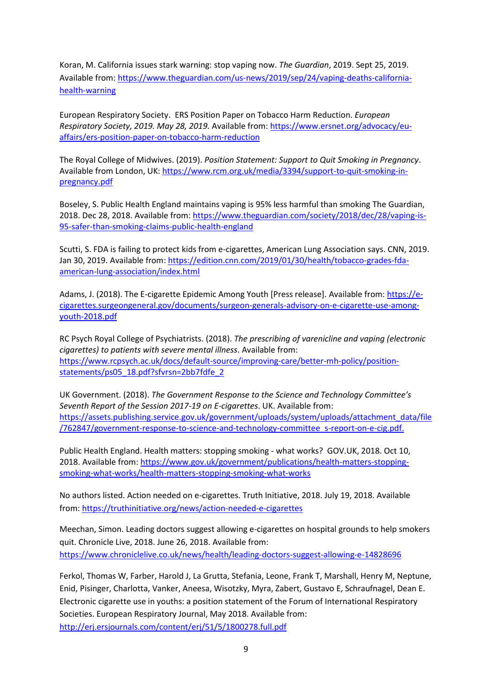Koran, M. California issues stark warning: stop vaping now. *The Guardian*, 2019. Sept 25, 2019. Available from[: https://www.theguardian.com/us-news/2019/sep/24/vaping-deaths-california](https://www.theguardian.com/us-news/2019/sep/24/vaping-deaths-california-health-warning)[health-warning](https://www.theguardian.com/us-news/2019/sep/24/vaping-deaths-california-health-warning)

European Respiratory Society. ERS Position Paper on Tobacco Harm Reduction. *European Respiratory Society, 2019. May 28, 2019.* Available from: [https://www.ersnet.org/advocacy/eu](https://www.ersnet.org/advocacy/eu-affairs/ers-position-paper-on-tobacco-harm-reduction)[affairs/ers-position-paper-on-tobacco-harm-reduction](https://www.ersnet.org/advocacy/eu-affairs/ers-position-paper-on-tobacco-harm-reduction)

The Royal College of Midwives. (2019). *Position Statement: Support to Quit Smoking in Pregnancy*. Available from London, UK[: https://www.rcm.org.uk/media/3394/support-to-quit-smoking-in](https://www.rcm.org.uk/media/3394/support-to-quit-smoking-in-pregnancy.pdf)[pregnancy.pdf](https://www.rcm.org.uk/media/3394/support-to-quit-smoking-in-pregnancy.pdf)

Boseley, S. Public Health England maintains vaping is 95% less harmful than smoking The Guardian, 2018. Dec 28, 2018. Available from: [https://www.theguardian.com/society/2018/dec/28/vaping-is-](https://www.theguardian.com/society/2018/dec/28/vaping-is-95-safer-than-smoking-claims-public-health-england)[95-safer-than-smoking-claims-public-health-england](https://www.theguardian.com/society/2018/dec/28/vaping-is-95-safer-than-smoking-claims-public-health-england)

Scutti, S. FDA is failing to protect kids from e-cigarettes, American Lung Association says. CNN, 2019. Jan 30, 2019. Available from: [https://edition.cnn.com/2019/01/30/health/tobacco-grades-fda](https://edition.cnn.com/2019/01/30/health/tobacco-grades-fda-american-lung-association/index.html)[american-lung-association/index.html](https://edition.cnn.com/2019/01/30/health/tobacco-grades-fda-american-lung-association/index.html)

Adams, J. (2018). The E-cigarette Epidemic Among Youth [Press release]. Available from: [https://e](https://e-cigarettes.surgeongeneral.gov/documents/surgeon-generals-advisory-on-e-cigarette-use-among-youth-2018.pdf)[cigarettes.surgeongeneral.gov/documents/surgeon-generals-advisory-on-e-cigarette-use-among](https://e-cigarettes.surgeongeneral.gov/documents/surgeon-generals-advisory-on-e-cigarette-use-among-youth-2018.pdf)[youth-2018.pdf](https://e-cigarettes.surgeongeneral.gov/documents/surgeon-generals-advisory-on-e-cigarette-use-among-youth-2018.pdf)

RC Psych Royal College of Psychiatrists. (2018). *The prescribing of varenicline and vaping (electronic cigarettes) to patients with severe mental illness*. Available from: [https://www.rcpsych.ac.uk/docs/default-source/improving-care/better-mh-policy/position](https://www.rcpsych.ac.uk/docs/default-source/improving-care/better-mh-policy/position-statements/ps05_18.pdf?sfvrsn=2bb7fdfe_2)[statements/ps05\\_18.pdf?sfvrsn=2bb7fdfe\\_2](https://www.rcpsych.ac.uk/docs/default-source/improving-care/better-mh-policy/position-statements/ps05_18.pdf?sfvrsn=2bb7fdfe_2)

UK Government. (2018). *The Government Response to the Science and Technology Committee's Seventh Report of the Session 2017-19 on E-cigarettes*. UK. Available from: [https://assets.publishing.service.gov.uk/government/uploads/system/uploads/attachment\\_data/file](https://assets.publishing.service.gov.uk/government/uploads/system/uploads/attachment_data/file/762847/government-response-to-science-and-technology-committee_s-report-on-e-cig.pdf.) [/762847/government-response-to-science-and-technology-committee\\_s-report-on-e-cig.pdf.](https://assets.publishing.service.gov.uk/government/uploads/system/uploads/attachment_data/file/762847/government-response-to-science-and-technology-committee_s-report-on-e-cig.pdf.)

Public Health England. Health matters: stopping smoking - what works? GOV.UK, 2018. Oct 10, 2018. Available from: [https://www.gov.uk/government/publications/health-matters-stopping](https://www.gov.uk/government/publications/health-matters-stopping-smoking-what-works/health-matters-stopping-smoking-what-works)[smoking-what-works/health-matters-stopping-smoking-what-works](https://www.gov.uk/government/publications/health-matters-stopping-smoking-what-works/health-matters-stopping-smoking-what-works)

No authors listed. Action needed on e-cigarettes. Truth Initiative, 2018. July 19, 2018. Available from:<https://truthinitiative.org/news/action-needed-e-cigarettes>

Meechan, Simon. Leading doctors suggest allowing e-cigarettes on hospital grounds to help smokers quit. Chronicle Live, 2018. June 26, 2018. Available from: <https://www.chroniclelive.co.uk/news/health/leading-doctors-suggest-allowing-e-14828696>

Ferkol, Thomas W, Farber, Harold J, La Grutta, Stefania, Leone, Frank T, Marshall, Henry M, Neptune, Enid, Pisinger, Charlotta, Vanker, Aneesa, Wisotzky, Myra, Zabert, Gustavo E, Schraufnagel, Dean E. Electronic cigarette use in youths: a position statement of the Forum of International Respiratory Societies. European Respiratory Journal, May 2018. Available from: <http://erj.ersjournals.com/content/erj/51/5/1800278.full.pdf>